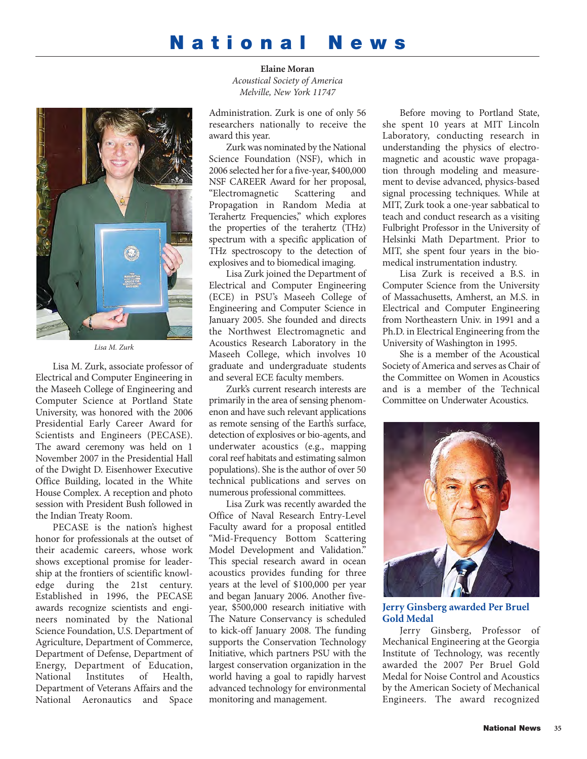# **National News**



*Lisa M. Zurk*

Lisa M. Zurk, associate professor of Electrical and Computer Engineering in the Maseeh College of Engineering and Computer Science at Portland State University, was honored with the 2006 Presidential Early Career Award for Scientists and Engineers (PECASE). The award ceremony was held on 1 November 2007 in the Presidential Hall of the Dwight D. Eisenhower Executive Office Building, located in the White House Complex. A reception and photo session with President Bush followed in the Indian Treaty Room.

PECASE is the nation's highest honor for professionals at the outset of their academic careers, whose work shows exceptional promise for leadership at the frontiers of scientific knowledge during the 21st century. Established in 1996, the PECASE awards recognize scientists and engineers nominated by the National Science Foundation, U.S. Department of Agriculture, Department of Commerce, Department of Defense, Department of Energy, Department of Education, National Institutes of Health, Department of Veterans Affairs and the National Aeronautics and Space

**Elaine Moran** *Acoustical Society of America Melville, New York 11747*

Administration. Zurk is one of only 56 researchers nationally to receive the award this year.

Zurk was nominated by the National Science Foundation (NSF), which in 2006 selected her for a five-year, \$400,000 NSF CAREER Award for her proposal, "Electromagnetic Scattering and Propagation in Random Media at Terahertz Frequencies," which explores the properties of the terahertz (THz) spectrum with a specific application of THz spectroscopy to the detection of explosives and to biomedical imaging.

Lisa Zurk joined the Department of Electrical and Computer Engineering (ECE) in PSU's Maseeh College of Engineering and Computer Science in January 2005. She founded and directs the Northwest Electromagnetic and Acoustics Research Laboratory in the Maseeh College, which involves 10 graduate and undergraduate students and several ECE faculty members.

Zurk's current research interests are primarily in the area of sensing phenomenon and have such relevant applications as remote sensing of the Earth's surface, detection of explosives or bio-agents, and underwater acoustics (e.g., mapping coral reef habitats and estimating salmon populations). She is the author of over 50 technical publications and serves on numerous professional committees.

Lisa Zurk was recently awarded the Office of Naval Research Entry-Level Faculty award for a proposal entitled "Mid-Frequency Bottom Scattering Model Development and Validation." This special research award in ocean acoustics provides funding for three years at the level of \$100,000 per year and began January 2006. Another fiveyear, \$500,000 research initiative with The Nature Conservancy is scheduled to kick-off January 2008. The funding supports the Conservation Technology Initiative, which partners PSU with the largest conservation organization in the world having a goal to rapidly harvest advanced technology for environmental monitoring and management.

Before moving to Portland State, she spent 10 years at MIT Lincoln Laboratory, conducting research in understanding the physics of electromagnetic and acoustic wave propagation through modeling and measurement to devise advanced, physics-based signal processing techniques. While at MIT, Zurk took a one-year sabbatical to teach and conduct research as a visiting Fulbright Professor in the University of Helsinki Math Department. Prior to MIT, she spent four years in the biomedical instrumentation industry.

Lisa Zurk is received a B.S. in Computer Science from the University of Massachusetts, Amherst, an M.S. in Electrical and Computer Engineering from Northeastern Univ. in 1991 and a Ph.D. in Electrical Engineering from the University of Washington in 1995.

She is a member of the Acoustical Society of America and serves as Chair of the Committee on Women in Acoustics and is a member of the Technical Committee on Underwater Acoustics.



**Jerry Ginsberg awarded Per Bruel Gold Medal**

Jerry Ginsberg, Professor of Mechanical Engineering at the Georgia Institute of Technology, was recently awarded the 2007 Per Bruel Gold Medal for Noise Control and Acoustics by the American Society of Mechanical Engineers. The award recognized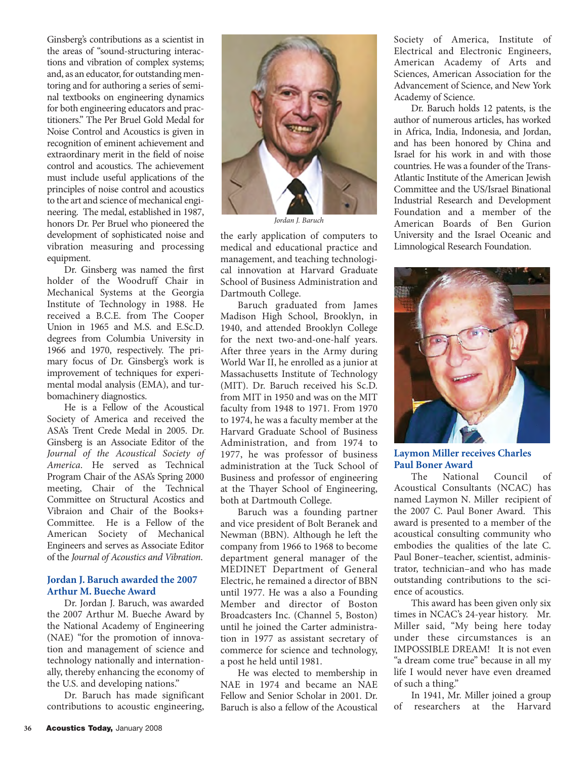Ginsberg's contributions as a scientist in the areas of "sound-structuring interactions and vibration of complex systems; and, as an educator, for outstanding mentoring and for authoring a series of seminal textbooks on engineering dynamics for both engineering educators and practitioners." The Per Bruel Gold Medal for Noise Control and Acoustics is given in recognition of eminent achievement and extraordinary merit in the field of noise control and acoustics. The achievement must include useful applications of the principles of noise control and acoustics to the art and science of mechanical engineering. The medal, established in 1987, honors Dr. Per Bruel who pioneered the development of sophisticated noise and vibration measuring and processing equipment.

Dr. Ginsberg was named the first holder of the Woodruff Chair in Mechanical Systems at the Georgia Institute of Technology in 1988. He received a B.C.E. from The Cooper Union in 1965 and M.S. and E.Sc.D. degrees from Columbia University in 1966 and 1970, respectively. The primary focus of Dr. Ginsberg's work is improvement of techniques for experimental modal analysis (EMA), and turbomachinery diagnostics.

He is a Fellow of the Acoustical Society of America and received the ASA's Trent Crede Medal in 2005. Dr. Ginsberg is an Associate Editor of the *Journal of the Acoustical Society of America*. He served as Technical Program Chair of the ASA's Spring 2000 meeting, Chair of the Technical Committee on Structural Acostics and Vibraion and Chair of the Books+ Committee. He is a Fellow of the American Society of Mechanical Engineers and serves as Associate Editor of the *Journal of Acoustics and Vibration*.

## **Jordan J. Baruch awarded the 2007 Arthur M. Bueche Award**

Dr. Jordan J. Baruch, was awarded the 2007 Arthur M. Bueche Award by the National Academy of Engineering (NAE) "for the promotion of innovation and management of science and technology nationally and internationally, thereby enhancing the economy of the U.S. and developing nations."

Dr. Baruch has made significant contributions to acoustic engineering,



*Jordan J. Baruch*

the early application of computers to medical and educational practice and management, and teaching technological innovation at Harvard Graduate School of Business Administration and Dartmouth College.

Baruch graduated from James Madison High School, Brooklyn, in 1940, and attended Brooklyn College for the next two-and-one-half years. After three years in the Army during World War II, he enrolled as a junior at Massachusetts Institute of Technology (MIT). Dr. Baruch received his Sc.D. from MIT in 1950 and was on the MIT faculty from 1948 to 1971. From 1970 to 1974, he was a faculty member at the Harvard Graduate School of Business Administration, and from 1974 to 1977, he was professor of business administration at the Tuck School of Business and professor of engineering at the Thayer School of Engineering, both at Dartmouth College.

Baruch was a founding partner and vice president of Bolt Beranek and Newman (BBN). Although he left the company from 1966 to 1968 to become department general manager of the MEDINET Department of General Electric, he remained a director of BBN until 1977. He was a also a Founding Member and director of Boston Broadcasters Inc. (Channel 5, Boston) until he joined the Carter administration in 1977 as assistant secretary of commerce for science and technology, a post he held until 1981.

He was elected to membership in NAE in 1974 and became an NAE Fellow and Senior Scholar in 2001. Dr. Baruch is also a fellow of the Acoustical Society of America, Institute of Electrical and Electronic Engineers, American Academy of Arts and Sciences, American Association for the Advancement of Science, and New York Academy of Science.

Dr. Baruch holds 12 patents, is the author of numerous articles, has worked in Africa, India, Indonesia, and Jordan, and has been honored by China and Israel for his work in and with those countries. He was a founder of the Trans-Atlantic Institute of the American Jewish Committee and the US/Israel Binational Industrial Research and Development Foundation and a member of the American Boards of Ben Gurion University and the Israel Oceanic and Limnological Research Foundation.



**Laymon Miller receives Charles Paul Boner Award**

The National Council of Acoustical Consultants (NCAC) has named Laymon N. Miller recipient of the 2007 C. Paul Boner Award. This award is presented to a member of the acoustical consulting community who embodies the qualities of the late C. Paul Boner–teacher, scientist, administrator, technician–and who has made outstanding contributions to the science of acoustics.

This award has been given only six times in NCAC's 24-year history. Mr. Miller said, "My being here today under these circumstances is an IMPOSSIBLE DREAM! It is not even "a dream come true" because in all my life I would never have even dreamed of such a thing."

In 1941, Mr. Miller joined a group of researchers at the Harvard